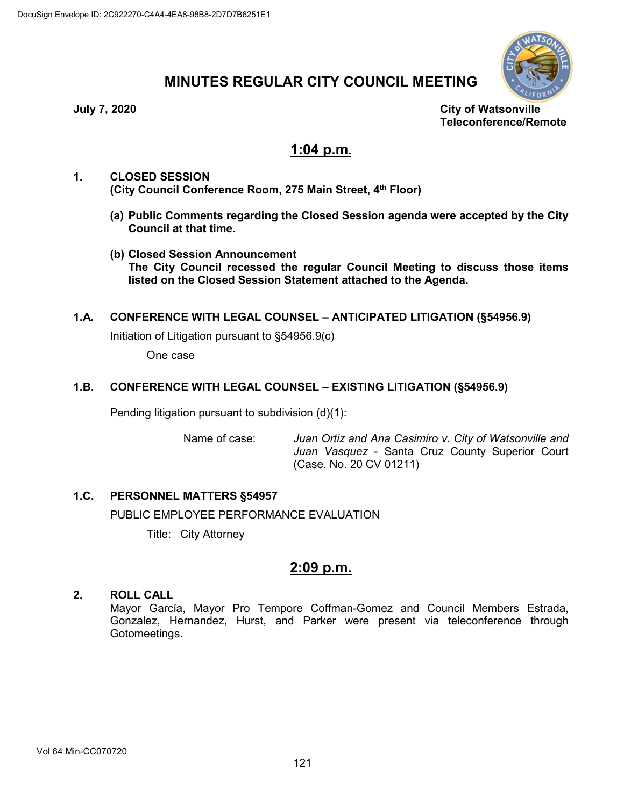

# **MINUTES REGULAR CITY COUNCIL MEETING**

**July 7, 2020 City of Watsonville Teleconference/Remote**

# **1:04 p.m.**

- **1. CLOSED SESSION (City Council Conference Room, 275 Main Street, 4th Floor)**
	- **(a) Public Comments regarding the Closed Session agenda were accepted by the City Council at that time.**
	- **(b) Closed Session Announcement The City Council recessed the regular Council Meeting to discuss those items listed on the Closed Session Statement attached to the Agenda.**

# **1.A. CONFERENCE WITH LEGAL COUNSEL – ANTICIPATED LITIGATION (§54956.9)**

Initiation of Litigation pursuant to §54956.9(c)

One case

# **1.B. CONFERENCE WITH LEGAL COUNSEL – EXISTING LITIGATION (§54956.9)**

Pending litigation pursuant to subdivision (d)(1):

Name of case: *Juan Ortiz and Ana Casimiro v. City of Watsonville and Juan Vasquez* - Santa Cruz County Superior Court (Case. No. 20 CV 01211)

# **1.C. PERSONNEL MATTERS §54957**

PUBLIC EMPLOYEE PERFORMANCE EVALUATION

Title: City Attorney

# **2:09 p.m.**

## **2. ROLL CALL**

Mayor García, Mayor Pro Tempore Coffman-Gomez and Council Members Estrada, Gonzalez, Hernandez, Hurst, and Parker were present via teleconference through Gotomeetings.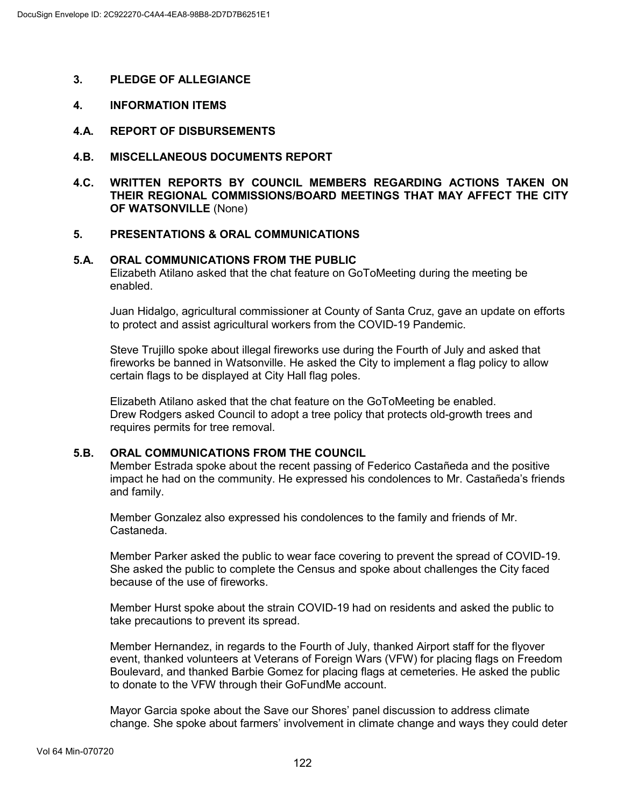# **3. PLEDGE OF ALLEGIANCE**

### **4. INFORMATION ITEMS**

- **4.A. REPORT OF DISBURSEMENTS**
- **4.B. MISCELLANEOUS DOCUMENTS REPORT**
- **4.C. WRITTEN REPORTS BY COUNCIL MEMBERS REGARDING ACTIONS TAKEN ON THEIR REGIONAL COMMISSIONS/BOARD MEETINGS THAT MAY AFFECT THE CITY OF WATSONVILLE** (None)

## **5. PRESENTATIONS & ORAL COMMUNICATIONS**

#### **5.A. ORAL COMMUNICATIONS FROM THE PUBLIC**

Elizabeth Atilano asked that the chat feature on GoToMeeting during the meeting be enabled.

Juan Hidalgo, agricultural commissioner at County of Santa Cruz, gave an update on efforts to protect and assist agricultural workers from the COVID-19 Pandemic.

Steve Trujillo spoke about illegal fireworks use during the Fourth of July and asked that fireworks be banned in Watsonville. He asked the City to implement a flag policy to allow certain flags to be displayed at City Hall flag poles.

Elizabeth Atilano asked that the chat feature on the GoToMeeting be enabled. Drew Rodgers asked Council to adopt a tree policy that protects old-growth trees and requires permits for tree removal.

### **5.B. ORAL COMMUNICATIONS FROM THE COUNCIL**

Member Estrada spoke about the recent passing of Federico Castañeda and the positive impact he had on the community. He expressed his condolences to Mr. Castañeda's friends and family.

Member Gonzalez also expressed his condolences to the family and friends of Mr. Castaneda.

Member Parker asked the public to wear face covering to prevent the spread of COVID-19. She asked the public to complete the Census and spoke about challenges the City faced because of the use of fireworks.

Member Hurst spoke about the strain COVID-19 had on residents and asked the public to take precautions to prevent its spread.

Member Hernandez, in regards to the Fourth of July, thanked Airport staff for the flyover event, thanked volunteers at Veterans of Foreign Wars (VFW) for placing flags on Freedom Boulevard, and thanked Barbie Gomez for placing flags at cemeteries. He asked the public to donate to the VFW through their GoFundMe account.

Mayor Garcia spoke about the Save our Shores' panel discussion to address climate change. She spoke about farmers' involvement in climate change and ways they could deter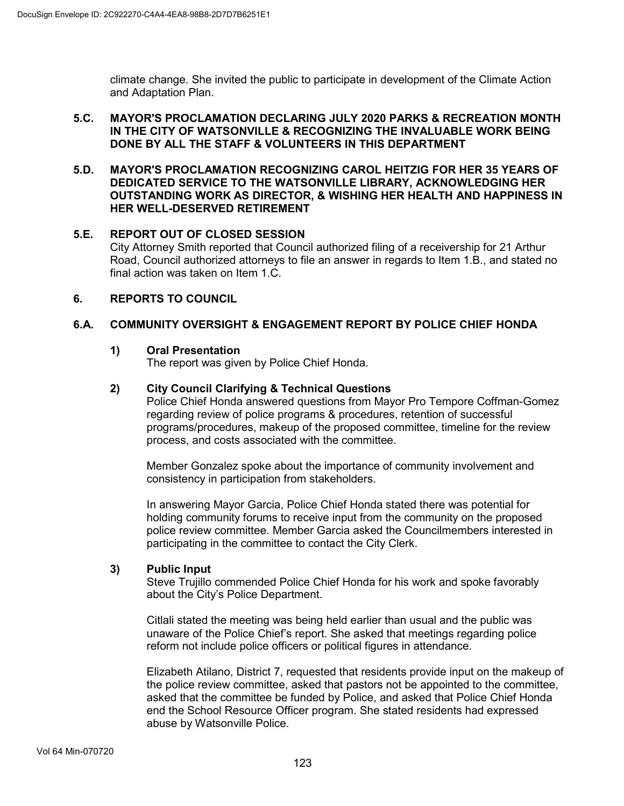climate change. She invited the public to participate in development of the Climate Action and Adaptation Plan.

## **5.C. MAYOR'S PROCLAMATION DECLARING JULY 2020 PARKS & RECREATION MONTH IN THE CITY OF WATSONVILLE & RECOGNIZING THE INVALUABLE WORK BEING DONE BY ALL THE STAFF & VOLUNTEERS IN THIS DEPARTMENT**

### **5.D. MAYOR'S PROCLAMATION RECOGNIZING CAROL HEITZIG FOR HER 35 YEARS OF DEDICATED SERVICE TO THE WATSONVILLE LIBRARY, ACKNOWLEDGING HER OUTSTANDING WORK AS DIRECTOR, & WISHING HER HEALTH AND HAPPINESS IN HER WELL-DESERVED RETIREMENT**

## **5.E. REPORT OUT OF CLOSED SESSION**

City Attorney Smith reported that Council authorized filing of a receivership for 21 Arthur Road, Council authorized attorneys to file an answer in regards to Item 1.B., and stated no final action was taken on Item 1.C.

## **6. REPORTS TO COUNCIL**

# **6.A. COMMUNITY OVERSIGHT & ENGAGEMENT REPORT BY POLICE CHIEF HONDA**

# **1) Oral Presentation**

The report was given by Police Chief Honda.

## **2) City Council Clarifying & Technical Questions**

Police Chief Honda answered questions from Mayor Pro Tempore Coffman-Gomez regarding review of police programs & procedures, retention of successful programs/procedures, makeup of the proposed committee, timeline for the review process, and costs associated with the committee.

Member Gonzalez spoke about the importance of community involvement and consistency in participation from stakeholders.

In answering Mayor Garcia, Police Chief Honda stated there was potential for holding community forums to receive input from the community on the proposed police review committee. Member Garcia asked the Councilmembers interested in participating in the committee to contact the City Clerk.

#### **3) Public Input**

Steve Trujillo commended Police Chief Honda for his work and spoke favorably about the City's Police Department.

Citlali stated the meeting was being held earlier than usual and the public was unaware of the Police Chief's report. She asked that meetings regarding police reform not include police officers or political figures in attendance.

Elizabeth Atilano, District 7, requested that residents provide input on the makeup of the police review committee, asked that pastors not be appointed to the committee, asked that the committee be funded by Police, and asked that Police Chief Honda end the School Resource Officer program. She stated residents had expressed abuse by Watsonville Police.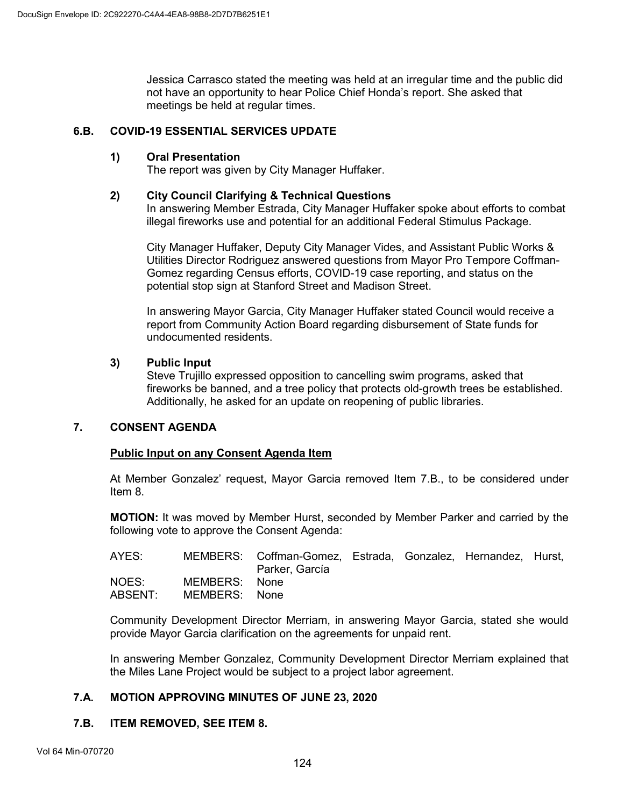Jessica Carrasco stated the meeting was held at an irregular time and the public did not have an opportunity to hear Police Chief Honda's report. She asked that meetings be held at regular times.

# **6.B. COVID-19 ESSENTIAL SERVICES UPDATE**

### **1) Oral Presentation**

The report was given by City Manager Huffaker.

## **2) City Council Clarifying & Technical Questions**

In answering Member Estrada, City Manager Huffaker spoke about efforts to combat illegal fireworks use and potential for an additional Federal Stimulus Package.

City Manager Huffaker, Deputy City Manager Vides, and Assistant Public Works & Utilities Director Rodriguez answered questions from Mayor Pro Tempore Coffman-Gomez regarding Census efforts, COVID-19 case reporting, and status on the potential stop sign at Stanford Street and Madison Street.

In answering Mayor Garcia, City Manager Huffaker stated Council would receive a report from Community Action Board regarding disbursement of State funds for undocumented residents.

## **3) Public Input**

Steve Trujillo expressed opposition to cancelling swim programs, asked that fireworks be banned, and a tree policy that protects old-growth trees be established. Additionally, he asked for an update on reopening of public libraries.

# **7. CONSENT AGENDA**

#### **Public Input on any Consent Agenda Item**

At Member Gonzalez' request, Mayor Garcia removed Item 7.B., to be considered under Item 8.

**MOTION:** It was moved by Member Hurst, seconded by Member Parker and carried by the following vote to approve the Consent Agenda:

| AYES:            |                                | MEMBERS: Coffman-Gomez, Estrada, Gonzalez, Hernandez, Hurst,<br>Parker, García |  |  |
|------------------|--------------------------------|--------------------------------------------------------------------------------|--|--|
| NOES:<br>ABSENT: | MEMBERS: None<br>MEMBERS: None |                                                                                |  |  |

Community Development Director Merriam, in answering Mayor Garcia, stated she would provide Mayor Garcia clarification on the agreements for unpaid rent.

In answering Member Gonzalez, Community Development Director Merriam explained that the Miles Lane Project would be subject to a project labor agreement.

# **7.A. MOTION APPROVING MINUTES OF JUNE 23, 2020**

# **7.B. ITEM REMOVED, SEE ITEM 8.**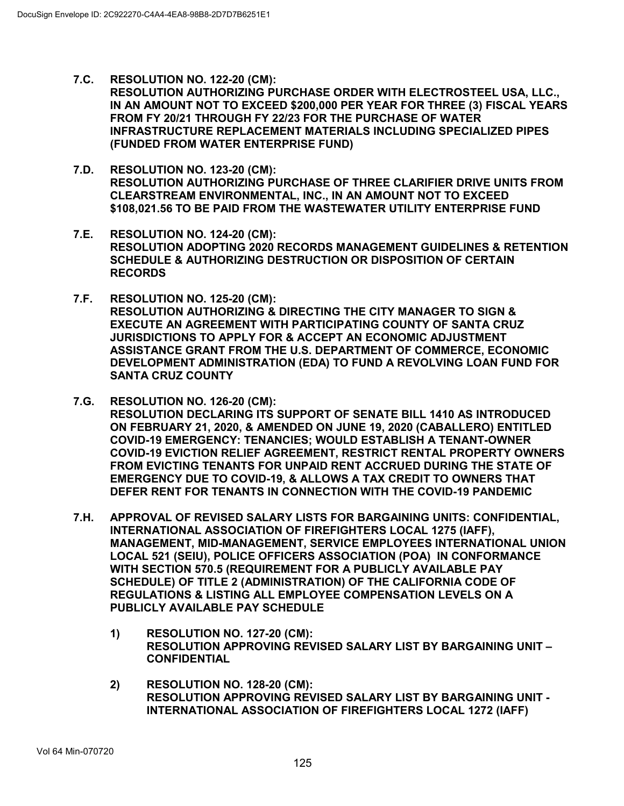- **7.C. RESOLUTION NO. 122-20 (CM): RESOLUTION AUTHORIZING PURCHASE ORDER WITH ELECTROSTEEL USA, LLC., IN AN AMOUNT NOT TO EXCEED \$200,000 PER YEAR FOR THREE (3) FISCAL YEARS FROM FY 20/21 THROUGH FY 22/23 FOR THE PURCHASE OF WATER INFRASTRUCTURE REPLACEMENT MATERIALS INCLUDING SPECIALIZED PIPES (FUNDED FROM WATER ENTERPRISE FUND)**
- **7.D. RESOLUTION NO. 123-20 (CM): RESOLUTION AUTHORIZING PURCHASE OF THREE CLARIFIER DRIVE UNITS FROM CLEARSTREAM ENVIRONMENTAL, INC., IN AN AMOUNT NOT TO EXCEED \$108,021.56 TO BE PAID FROM THE WASTEWATER UTILITY ENTERPRISE FUND**
- **7.E. RESOLUTION NO. 124-20 (CM): RESOLUTION ADOPTING 2020 RECORDS MANAGEMENT GUIDELINES & RETENTION SCHEDULE & AUTHORIZING DESTRUCTION OR DISPOSITION OF CERTAIN RECORDS**
- **7.F. RESOLUTION NO. 125-20 (CM): RESOLUTION AUTHORIZING & DIRECTING THE CITY MANAGER TO SIGN & EXECUTE AN AGREEMENT WITH PARTICIPATING COUNTY OF SANTA CRUZ JURISDICTIONS TO APPLY FOR & ACCEPT AN ECONOMIC ADJUSTMENT ASSISTANCE GRANT FROM THE U.S. DEPARTMENT OF COMMERCE, ECONOMIC DEVELOPMENT ADMINISTRATION (EDA) TO FUND A REVOLVING LOAN FUND FOR SANTA CRUZ COUNTY**
- **7.G. RESOLUTION NO. 126-20 (CM): RESOLUTION DECLARING ITS SUPPORT OF SENATE BILL 1410 AS INTRODUCED ON FEBRUARY 21, 2020, & AMENDED ON JUNE 19, 2020 (CABALLERO) ENTITLED COVID-19 EMERGENCY: TENANCIES; WOULD ESTABLISH A TENANT-OWNER COVID-19 EVICTION RELIEF AGREEMENT, RESTRICT RENTAL PROPERTY OWNERS FROM EVICTING TENANTS FOR UNPAID RENT ACCRUED DURING THE STATE OF EMERGENCY DUE TO COVID-19, & ALLOWS A TAX CREDIT TO OWNERS THAT DEFER RENT FOR TENANTS IN CONNECTION WITH THE COVID-19 PANDEMIC**
- **7.H. APPROVAL OF REVISED SALARY LISTS FOR BARGAINING UNITS: CONFIDENTIAL, INTERNATIONAL ASSOCIATION OF FIREFIGHTERS LOCAL 1275 (IAFF), MANAGEMENT, MID-MANAGEMENT, SERVICE EMPLOYEES INTERNATIONAL UNION LOCAL 521 (SEIU), POLICE OFFICERS ASSOCIATION (POA) IN CONFORMANCE WITH SECTION 570.5 (REQUIREMENT FOR A PUBLICLY AVAILABLE PAY SCHEDULE) OF TITLE 2 (ADMINISTRATION) OF THE CALIFORNIA CODE OF REGULATIONS & LISTING ALL EMPLOYEE COMPENSATION LEVELS ON A PUBLICLY AVAILABLE PAY SCHEDULE**
	- **1) RESOLUTION NO. 127-20 (CM): RESOLUTION APPROVING REVISED SALARY LIST BY BARGAINING UNIT – CONFIDENTIAL**
	- **2) RESOLUTION NO. 128-20 (CM): RESOLUTION APPROVING REVISED SALARY LIST BY BARGAINING UNIT - INTERNATIONAL ASSOCIATION OF FIREFIGHTERS LOCAL 1272 (IAFF)**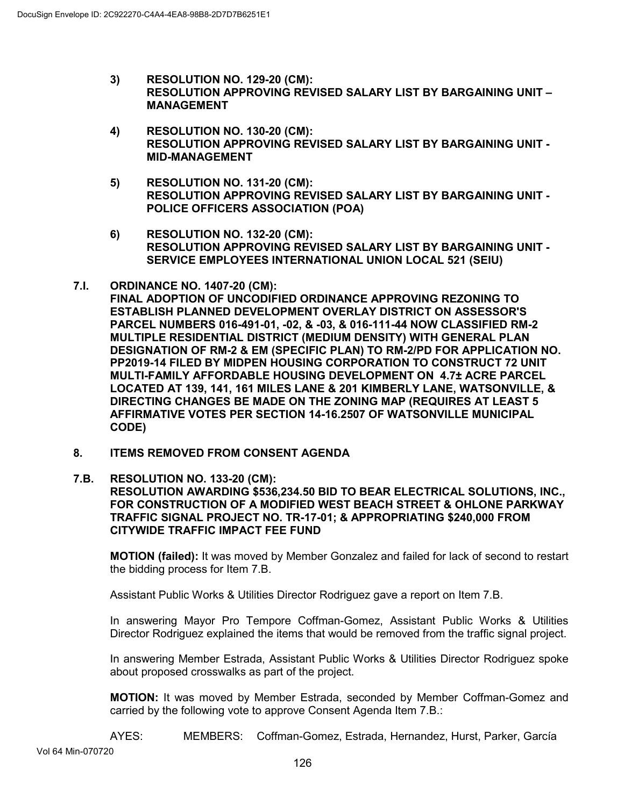- **3) RESOLUTION NO. 129-20 (CM): RESOLUTION APPROVING REVISED SALARY LIST BY BARGAINING UNIT – MANAGEMENT**
- **4) RESOLUTION NO. 130-20 (CM): RESOLUTION APPROVING REVISED SALARY LIST BY BARGAINING UNIT - MID-MANAGEMENT**
- **5) RESOLUTION NO. 131-20 (CM): RESOLUTION APPROVING REVISED SALARY LIST BY BARGAINING UNIT - POLICE OFFICERS ASSOCIATION (POA)**
- **6) RESOLUTION NO. 132-20 (CM): RESOLUTION APPROVING REVISED SALARY LIST BY BARGAINING UNIT - SERVICE EMPLOYEES INTERNATIONAL UNION LOCAL 521 (SEIU)**
- **7.I. ORDINANCE NO. 1407-20 (CM):**

**FINAL ADOPTION OF UNCODIFIED ORDINANCE APPROVING REZONING TO ESTABLISH PLANNED DEVELOPMENT OVERLAY DISTRICT ON ASSESSOR'S PARCEL NUMBERS 016-491-01, -02, & -03, & 016-111-44 NOW CLASSIFIED RM-2 MULTIPLE RESIDENTIAL DISTRICT (MEDIUM DENSITY) WITH GENERAL PLAN DESIGNATION OF RM-2 & EM (SPECIFIC PLAN) TO RM-2/PD FOR APPLICATION NO. PP2019-14 FILED BY MIDPEN HOUSING CORPORATION TO CONSTRUCT 72 UNIT MULTI-FAMILY AFFORDABLE HOUSING DEVELOPMENT ON 4.7± ACRE PARCEL LOCATED AT 139, 141, 161 MILES LANE & 201 KIMBERLY LANE, WATSONVILLE, & DIRECTING CHANGES BE MADE ON THE ZONING MAP (REQUIRES AT LEAST 5 AFFIRMATIVE VOTES PER SECTION 14-16.2507 OF WATSONVILLE MUNICIPAL CODE)**

- **8. ITEMS REMOVED FROM CONSENT AGENDA**
- **7.B. RESOLUTION NO. 133-20 (CM):**

**RESOLUTION AWARDING \$536,234.50 BID TO BEAR ELECTRICAL SOLUTIONS, INC., FOR CONSTRUCTION OF A MODIFIED WEST BEACH STREET & OHLONE PARKWAY TRAFFIC SIGNAL PROJECT NO. TR-17-01; & APPROPRIATING \$240,000 FROM CITYWIDE TRAFFIC IMPACT FEE FUND**

**MOTION (failed):** It was moved by Member Gonzalez and failed for lack of second to restart the bidding process for Item 7.B.

Assistant Public Works & Utilities Director Rodriguez gave a report on Item 7.B.

In answering Mayor Pro Tempore Coffman-Gomez, Assistant Public Works & Utilities Director Rodriguez explained the items that would be removed from the traffic signal project.

In answering Member Estrada, Assistant Public Works & Utilities Director Rodriguez spoke about proposed crosswalks as part of the project.

**MOTION:** It was moved by Member Estrada, seconded by Member Coffman-Gomez and carried by the following vote to approve Consent Agenda Item 7.B.:

AYES: MEMBERS: Coffman-Gomez, Estrada, Hernandez, Hurst, Parker, García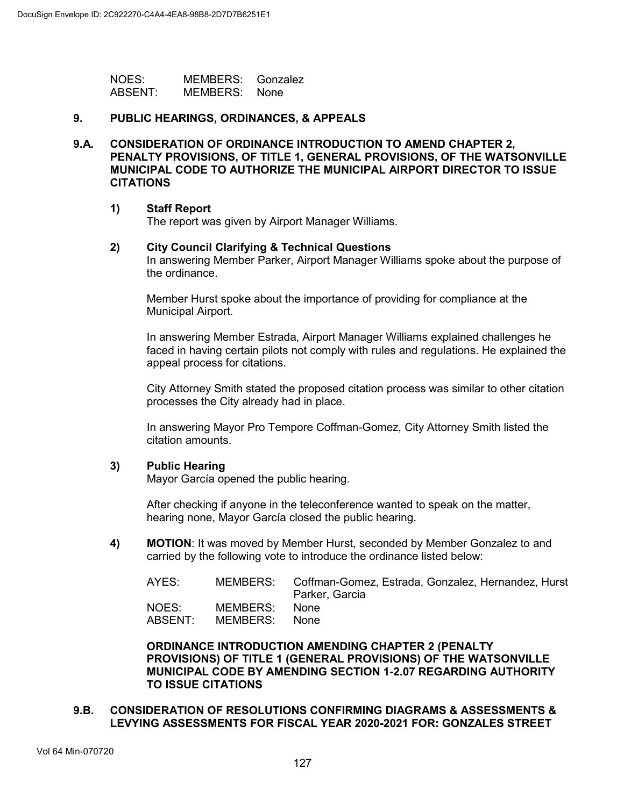| NOES:   | MEMBERS: Gonzalez |      |
|---------|-------------------|------|
| ABSENT: | MEMBERS:          | None |

#### **9. PUBLIC HEARINGS, ORDINANCES, & APPEALS**

**9.A. CONSIDERATION OF ORDINANCE INTRODUCTION TO AMEND CHAPTER 2, PENALTY PROVISIONS, OF TITLE 1, GENERAL PROVISIONS, OF THE WATSONVILLE MUNICIPAL CODE TO AUTHORIZE THE MUNICIPAL AIRPORT DIRECTOR TO ISSUE CITATIONS**

#### **1) Staff Report**

The report was given by Airport Manager Williams.

### **2) City Council Clarifying & Technical Questions**

In answering Member Parker, Airport Manager Williams spoke about the purpose of the ordinance.

Member Hurst spoke about the importance of providing for compliance at the Municipal Airport.

In answering Member Estrada, Airport Manager Williams explained challenges he faced in having certain pilots not comply with rules and regulations. He explained the appeal process for citations.

City Attorney Smith stated the proposed citation process was similar to other citation processes the City already had in place.

In answering Mayor Pro Tempore Coffman-Gomez, City Attorney Smith listed the citation amounts.

#### **3) Public Hearing**

Mayor García opened the public hearing.

After checking if anyone in the teleconference wanted to speak on the matter, hearing none, Mayor García closed the public hearing.

**4) MOTION**: It was moved by Member Hurst, seconded by Member Gonzalez to and carried by the following vote to introduce the ordinance listed below:

| AYES:   |          | MEMBERS: Coffman-Gomez, Estrada, Gonzalez, Hernandez, Hurst<br>Parker, Garcia |
|---------|----------|-------------------------------------------------------------------------------|
| NOES:   | MEMBERS: | None                                                                          |
| ABSENT: | MEMBERS: | None                                                                          |

**ORDINANCE INTRODUCTION AMENDING CHAPTER 2 (PENALTY PROVISIONS) OF TITLE 1 (GENERAL PROVISIONS) OF THE WATSONVILLE MUNICIPAL CODE BY AMENDING SECTION 1-2.07 REGARDING AUTHORITY TO ISSUE CITATIONS**

#### **9.B. CONSIDERATION OF RESOLUTIONS CONFIRMING DIAGRAMS & ASSESSMENTS & LEVYING ASSESSMENTS FOR FISCAL YEAR 2020-2021 FOR: GONZALES STREET**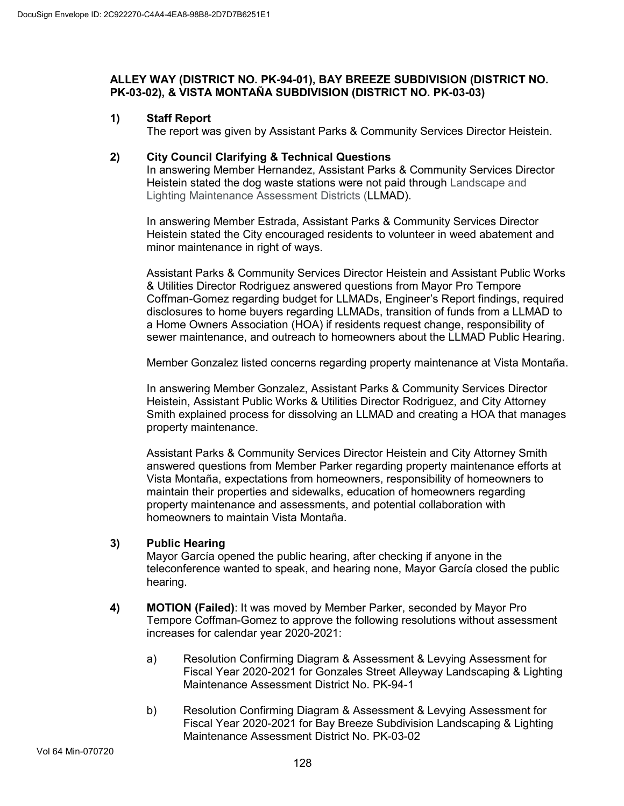# **ALLEY WAY (DISTRICT NO. PK-94-01), BAY BREEZE SUBDIVISION (DISTRICT NO. PK-03-02), & VISTA MONTAÑA SUBDIVISION (DISTRICT NO. PK-03-03)**

## **1) Staff Report**

The report was given by Assistant Parks & Community Services Director Heistein.

## **2) City Council Clarifying & Technical Questions**

In answering Member Hernandez, Assistant Parks & Community Services Director Heistein stated the dog waste stations were not paid through Landscape and Lighting Maintenance Assessment Districts (LLMAD).

In answering Member Estrada, Assistant Parks & Community Services Director Heistein stated the City encouraged residents to volunteer in weed abatement and minor maintenance in right of ways.

Assistant Parks & Community Services Director Heistein and Assistant Public Works & Utilities Director Rodriguez answered questions from Mayor Pro Tempore Coffman-Gomez regarding budget for LLMADs, Engineer's Report findings, required disclosures to home buyers regarding LLMADs, transition of funds from a LLMAD to a Home Owners Association (HOA) if residents request change, responsibility of sewer maintenance, and outreach to homeowners about the LLMAD Public Hearing.

Member Gonzalez listed concerns regarding property maintenance at Vista Montaña.

In answering Member Gonzalez, Assistant Parks & Community Services Director Heistein, Assistant Public Works & Utilities Director Rodriguez, and City Attorney Smith explained process for dissolving an LLMAD and creating a HOA that manages property maintenance.

Assistant Parks & Community Services Director Heistein and City Attorney Smith answered questions from Member Parker regarding property maintenance efforts at Vista Montaña, expectations from homeowners, responsibility of homeowners to maintain their properties and sidewalks, education of homeowners regarding property maintenance and assessments, and potential collaboration with homeowners to maintain Vista Montaña.

# **3) Public Hearing**

Mayor García opened the public hearing, after checking if anyone in the teleconference wanted to speak, and hearing none, Mayor García closed the public hearing.

- **4) MOTION (Failed)**: It was moved by Member Parker, seconded by Mayor Pro Tempore Coffman-Gomez to approve the following resolutions without assessment increases for calendar year 2020-2021:
	- a) Resolution Confirming Diagram & Assessment & Levying Assessment for Fiscal Year 2020-2021 for Gonzales Street Alleyway Landscaping & Lighting Maintenance Assessment District No. PK-94-1
	- b) Resolution Confirming Diagram & Assessment & Levying Assessment for Fiscal Year 2020-2021 for Bay Breeze Subdivision Landscaping & Lighting Maintenance Assessment District No. PK-03-02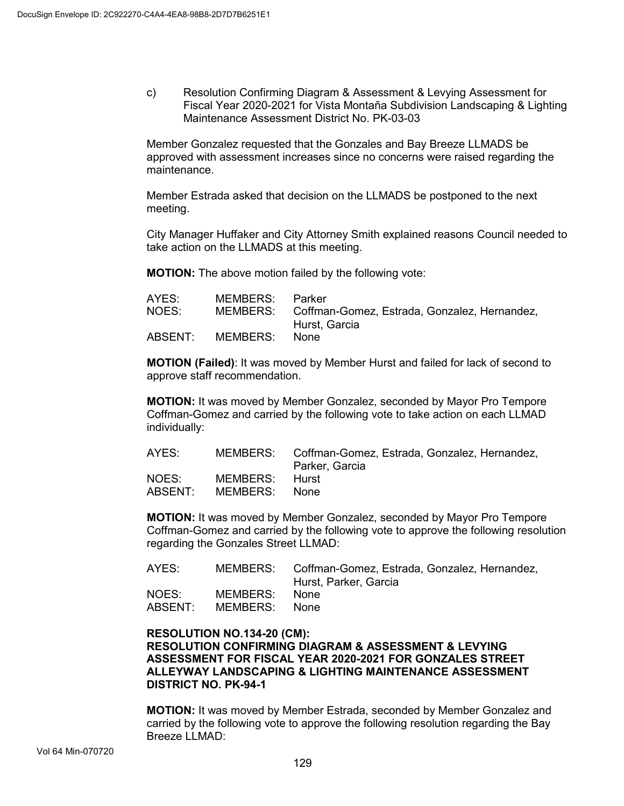c) Resolution Confirming Diagram & Assessment & Levying Assessment for Fiscal Year 2020-2021 for Vista Montaña Subdivision Landscaping & Lighting Maintenance Assessment District No. PK-03-03

Member Gonzalez requested that the Gonzales and Bay Breeze LLMADS be approved with assessment increases since no concerns were raised regarding the maintenance.

Member Estrada asked that decision on the LLMADS be postponed to the next meeting.

City Manager Huffaker and City Attorney Smith explained reasons Council needed to take action on the LLMADS at this meeting.

**MOTION:** The above motion failed by the following vote:

| AYES:   | MEMBERS: | Parker                                                |
|---------|----------|-------------------------------------------------------|
| NOES:   |          | MEMBERS: Coffman-Gomez, Estrada, Gonzalez, Hernandez, |
|         |          | Hurst, Garcia                                         |
| ABSENT: | MEMBERS: | None                                                  |

**MOTION (Failed)**: It was moved by Member Hurst and failed for lack of second to approve staff recommendation.

**MOTION:** It was moved by Member Gonzalez, seconded by Mayor Pro Tempore Coffman-Gomez and carried by the following vote to take action on each LLMAD individually:

| AYES:            |                                 | MEMBERS: Coffman-Gomez, Estrada, Gonzalez, Hernandez,<br>Parker, Garcia |
|------------------|---------------------------------|-------------------------------------------------------------------------|
| NOES:<br>ABSENT: | MEMBERS: Hurst<br>MEMBERS: None |                                                                         |

**MOTION:** It was moved by Member Gonzalez, seconded by Mayor Pro Tempore Coffman-Gomez and carried by the following vote to approve the following resolution regarding the Gonzales Street LLMAD:

| AYES:            |                           | MEMBERS: Coffman-Gomez, Estrada, Gonzalez, Hernandez,<br>Hurst, Parker, Garcia |
|------------------|---------------------------|--------------------------------------------------------------------------------|
| NOES:<br>ABSENT: | MEMBERS:<br>MEMBERS: None | <b>None</b>                                                                    |

#### **RESOLUTION NO.134-20 (CM): RESOLUTION CONFIRMING DIAGRAM & ASSESSMENT & LEVYING ASSESSMENT FOR FISCAL YEAR 2020-2021 FOR GONZALES STREET ALLEYWAY LANDSCAPING & LIGHTING MAINTENANCE ASSESSMENT DISTRICT NO. PK-94-1**

**MOTION:** It was moved by Member Estrada, seconded by Member Gonzalez and carried by the following vote to approve the following resolution regarding the Bay Breeze LLMAD: